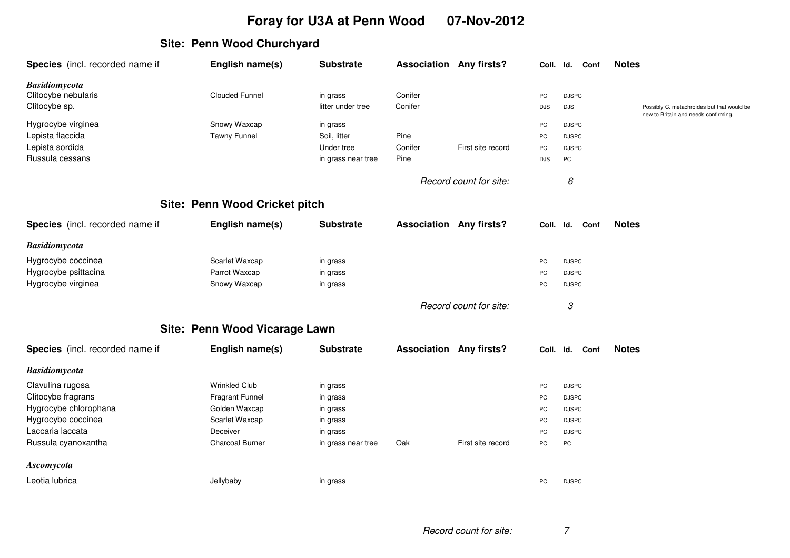## **Foray for U3A at Penn Wood 07-Nov-2012**

## **Site: Penn Wood Churchyard**

| Species (incl. recorded name if                                                                                                  | English name(s)                                                                                                         | <b>Substrate</b>                                                               | <b>Association Any firsts?</b> |                        | Coll. Id.                        |                                                                                    | Conf | <b>Notes</b>                                                                       |
|----------------------------------------------------------------------------------------------------------------------------------|-------------------------------------------------------------------------------------------------------------------------|--------------------------------------------------------------------------------|--------------------------------|------------------------|----------------------------------|------------------------------------------------------------------------------------|------|------------------------------------------------------------------------------------|
| <b>Basidiomycota</b><br>Clitocybe nebularis<br>Clitocybe sp.                                                                     | <b>Clouded Funnel</b>                                                                                                   | in grass<br>litter under tree                                                  | Conifer<br>Conifer             |                        | PC<br><b>DJS</b>                 | <b>DJSPC</b><br><b>DJS</b>                                                         |      | Possibly C. metachroides but that would be<br>new to Britain and needs confirming. |
| Hygrocybe virginea<br>Lepista flaccida<br>Lepista sordida<br>Russula cessans                                                     | Snowy Waxcap<br><b>Tawny Funnel</b>                                                                                     | in grass<br>Soil, litter<br>Under tree<br>in grass near tree                   | Pine<br>Conifer<br>Pine        | First site record      | PC<br>PC<br>PC<br><b>DJS</b>     | <b>DJSPC</b><br><b>DJSPC</b><br><b>DJSPC</b><br>PC                                 |      |                                                                                    |
|                                                                                                                                  |                                                                                                                         |                                                                                |                                | Record count for site: |                                  | 6                                                                                  |      |                                                                                    |
|                                                                                                                                  | Site: Penn Wood Cricket pitch                                                                                           |                                                                                |                                |                        |                                  |                                                                                    |      |                                                                                    |
| Species (incl. recorded name if                                                                                                  | English name(s)                                                                                                         | <b>Substrate</b>                                                               | <b>Association Any firsts?</b> |                        | Coll.                            | Id.                                                                                | Conf | <b>Notes</b>                                                                       |
| <b>Basidiomycota</b>                                                                                                             |                                                                                                                         |                                                                                |                                |                        |                                  |                                                                                    |      |                                                                                    |
| Hygrocybe coccinea<br>Hygrocybe psittacina<br>Hygrocybe virginea                                                                 | Scarlet Waxcap<br>Parrot Waxcap<br>Snowy Waxcap                                                                         | in grass<br>in grass<br>in grass                                               |                                |                        | PC<br>PC<br>PC                   | <b>DJSPC</b><br><b>DJSPC</b><br><b>DJSPC</b>                                       |      |                                                                                    |
|                                                                                                                                  |                                                                                                                         |                                                                                |                                | Record count for site: |                                  | 3                                                                                  |      |                                                                                    |
|                                                                                                                                  | Site: Penn Wood Vicarage Lawn                                                                                           |                                                                                |                                |                        |                                  |                                                                                    |      |                                                                                    |
| Species (incl. recorded name if                                                                                                  | English name(s)                                                                                                         | <b>Substrate</b>                                                               | <b>Association Any firsts?</b> |                        | Coll.                            | Id.                                                                                | Conf | <b>Notes</b>                                                                       |
| <b>Basidiomycota</b>                                                                                                             |                                                                                                                         |                                                                                |                                |                        |                                  |                                                                                    |      |                                                                                    |
| Clavulina rugosa<br>Clitocybe fragrans<br>Hygrocybe chlorophana<br>Hygrocybe coccinea<br>Laccaria laccata<br>Russula cyanoxantha | <b>Wrinkled Club</b><br><b>Fragrant Funnel</b><br>Golden Waxcap<br>Scarlet Waxcap<br>Deceiver<br><b>Charcoal Burner</b> | in grass<br>in grass<br>in grass<br>in grass<br>in grass<br>in grass near tree | Oak                            | First site record      | PC<br>PC<br>PC<br>PC<br>PC<br>PC | <b>DJSPC</b><br><b>DJSPC</b><br><b>DJSPC</b><br><b>DJSPC</b><br><b>DJSPC</b><br>PC |      |                                                                                    |
| Ascomycota                                                                                                                       |                                                                                                                         |                                                                                |                                |                        |                                  |                                                                                    |      |                                                                                    |
| Leotia lubrica                                                                                                                   | Jellybaby                                                                                                               | in grass                                                                       |                                |                        | PC                               | <b>DJSPC</b>                                                                       |      |                                                                                    |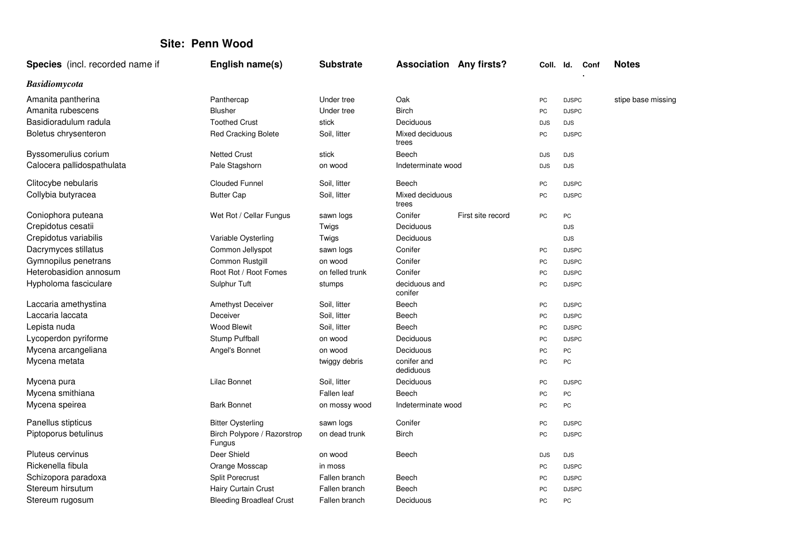## **Site: Penn Wood**

| <b>Species</b> (incl. recorded name if | English name(s)                       | <b>Substrate</b> | <b>Association Any firsts?</b> |                   | Coll. Id.  |              | Conf | <b>Notes</b>       |
|----------------------------------------|---------------------------------------|------------------|--------------------------------|-------------------|------------|--------------|------|--------------------|
| <b>Basidiomycota</b>                   |                                       |                  |                                |                   |            |              |      |                    |
| Amanita pantherina                     | Panthercap                            | Under tree       | Oak                            |                   | PC         | <b>DJSPC</b> |      | stipe base missing |
| Amanita rubescens                      | <b>Blusher</b>                        | Under tree       | <b>Birch</b>                   |                   | PC         | <b>DJSPC</b> |      |                    |
| Basidioradulum radula                  | <b>Toothed Crust</b>                  | stick            | Deciduous                      |                   | <b>DJS</b> | <b>DJS</b>   |      |                    |
| Boletus chrysenteron                   | <b>Red Cracking Bolete</b>            | Soil, litter     | Mixed deciduous<br>trees       |                   | PC         | <b>DJSPC</b> |      |                    |
| Byssomerulius corium                   | <b>Netted Crust</b>                   | stick            | Beech                          |                   | <b>DJS</b> | <b>DJS</b>   |      |                    |
| Calocera pallidospathulata             | Pale Stagshorn                        | on wood          | Indeterminate wood             |                   | <b>DJS</b> | <b>DJS</b>   |      |                    |
| Clitocybe nebularis                    | <b>Clouded Funnel</b>                 | Soil, litter     | Beech                          |                   | PC         | <b>DJSPC</b> |      |                    |
| Collybia butyracea                     | <b>Butter Cap</b>                     | Soil, litter     | Mixed deciduous<br>trees       |                   | PC         | <b>DJSPC</b> |      |                    |
| Coniophora puteana                     | Wet Rot / Cellar Fungus               | sawn logs        | Conifer                        | First site record | PC         | PC           |      |                    |
| Crepidotus cesatii                     |                                       | Twigs            | Deciduous                      |                   |            | <b>DJS</b>   |      |                    |
| Crepidotus variabilis                  | Variable Oysterling                   | Twigs            | Deciduous                      |                   |            | <b>DJS</b>   |      |                    |
| Dacrymyces stillatus                   | Common Jellyspot                      | sawn logs        | Conifer                        |                   | PC         | <b>DJSPC</b> |      |                    |
| Gymnopilus penetrans                   | Common Rustgill                       | on wood          | Conifer                        |                   | PC         | <b>DJSPC</b> |      |                    |
| Heterobasidion annosum                 | Root Rot / Root Fomes                 | on felled trunk  | Conifer                        |                   | PC         | <b>DJSPC</b> |      |                    |
| Hypholoma fasciculare                  | Sulphur Tuft                          | stumps           | deciduous and<br>conifer       |                   | PC         | <b>DJSPC</b> |      |                    |
| Laccaria amethystina                   | <b>Amethyst Deceiver</b>              | Soil, litter     | Beech                          |                   | PC         | <b>DJSPC</b> |      |                    |
| Laccaria laccata                       | Deceiver                              | Soil, litter     | Beech                          |                   | PC         | <b>DJSPC</b> |      |                    |
| Lepista nuda                           | <b>Wood Blewit</b>                    | Soil, litter     | Beech                          |                   | PC         | <b>DJSPC</b> |      |                    |
| Lycoperdon pyriforme                   | Stump Puffball                        | on wood          | Deciduous                      |                   | PC         | <b>DJSPC</b> |      |                    |
| Mycena arcangeliana                    | Angel's Bonnet                        | on wood          | Deciduous                      |                   | PC         | PC           |      |                    |
| Mycena metata                          |                                       | twiggy debris    | conifer and<br>dediduous       |                   | PC         | PC           |      |                    |
| Mycena pura                            | Lilac Bonnet                          | Soil, litter     | Deciduous                      |                   | PC         | <b>DJSPC</b> |      |                    |
| Mycena smithiana                       |                                       | Fallen leaf      | Beech                          |                   | PC         | PC           |      |                    |
| Mycena speirea                         | <b>Bark Bonnet</b>                    | on mossy wood    | Indeterminate wood             |                   | PC         | PC           |      |                    |
| Panellus stipticus                     | <b>Bitter Oysterling</b>              | sawn logs        | Conifer                        |                   | PC         | <b>DJSPC</b> |      |                    |
| Piptoporus betulinus                   | Birch Polypore / Razorstrop<br>Fungus | on dead trunk    | <b>Birch</b>                   |                   | PC         | <b>DJSPC</b> |      |                    |
| Pluteus cervinus                       | Deer Shield                           | on wood          | Beech                          |                   | <b>DJS</b> | <b>DJS</b>   |      |                    |
| Rickenella fibula                      | Orange Mosscap                        | in moss          |                                |                   | PC         | <b>DJSPC</b> |      |                    |
| Schizopora paradoxa                    | <b>Split Porecrust</b>                | Fallen branch    | Beech                          |                   | PC         | <b>DJSPC</b> |      |                    |
| Stereum hirsutum                       | Hairy Curtain Crust                   | Fallen branch    | Beech                          |                   | PC         | <b>DJSPC</b> |      |                    |
| Stereum rugosum                        | <b>Bleeding Broadleaf Crust</b>       | Fallen branch    | Deciduous                      |                   | PC         | PC           |      |                    |